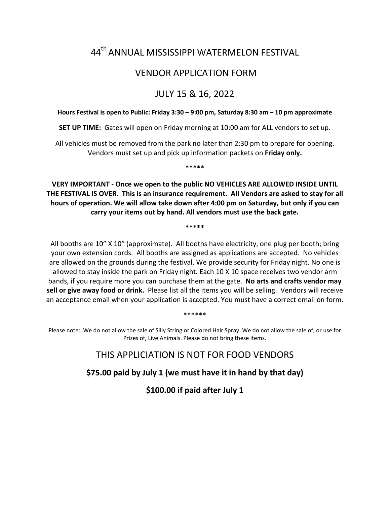# 44th ANNUAL MISSISSIPPI WATERMELON FESTIVAL

## VENDOR APPLICATION FORM

# JULY 15 & 16, 2022

#### **Hours Festival is open to Public: Friday 3:30 – 9:00 pm, Saturday 8:30 am – 10 pm approximate**

**SET UP TIME:** Gates will open on Friday morning at 10:00 am for ALL vendors to set up.

All vehicles must be removed from the park no later than 2:30 pm to prepare for opening. Vendors must set up and pick up information packets on **Friday only.**

\*\*\*\*\*

**VERY IMPORTANT - Once we open to the public NO VEHICLES ARE ALLOWED INSIDE UNTIL THE FESTIVAL IS OVER. This is an insurance requirement. All Vendors are asked to stay for all hours of operation. We will allow take down after 4:00 pm on Saturday, but only if you can carry your items out by hand. All vendors must use the back gate.**

**\*\*\*\*\***

All booths are 10" X 10" (approximate). All booths have electricity, one plug per booth; bring your own extension cords. All booths are assigned as applications are accepted. No vehicles are allowed on the grounds during the festival. We provide security for Friday night. No one is allowed to stay inside the park on Friday night. Each 10 X 10 space receives two vendor arm bands, if you require more you can purchase them at the gate. **No arts and crafts vendor may sell or give away food or drink.** Please list all the items you will be selling. Vendors will receive an acceptance email when your application is accepted. You must have a correct email on form.

\*\*\*\*\*\*

Please note: We do not allow the sale of Silly String or Colored Hair Spray. We do not allow the sale of, or use for Prizes of, Live Animals. Please do not bring these items.

### THIS APPLICIATION IS NOT FOR FOOD VENDORS

**\$75.00 paid by July 1 (we must have it in hand by that day)**

**\$100.00 if paid after July 1**